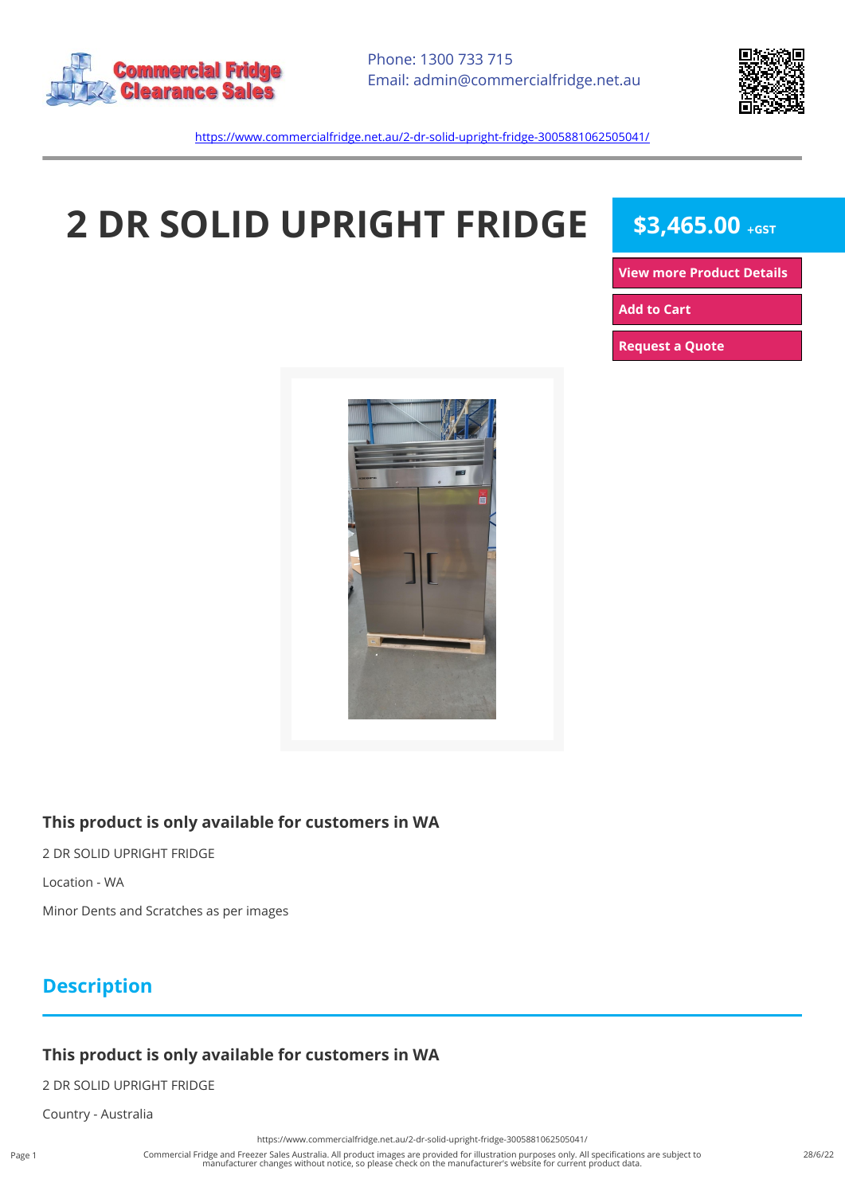



<https://www.commercialfridge.net.au/2-dr-solid-upright-fridge-3005881062505041/>

# **2 DR SOLID UPRIGHT FRIDGE \$3,465.00 +GST**

**[View more Product Details](https://www.commercialfridge.net.au/2-dr-solid-upright-fridge-3005881062505041/)**

**[Add to Cart](https://www.commercialfridge.net.au/2-dr-solid-upright-fridge-3005881062505041/?addtocart=1)** 

**[Request a Quote](https://www.commercialfridge.net.au/2-dr-solid-upright-fridge-3005881062505041/?requestaquote=1)** 



### **This product is only available for customers in WA**

2 DR SOLID UPRIGHT FRIDGE

Location - WA

Minor Dents and Scratches as per images

## **Description**

### **This product is only available for customers in WA**

2 DR SOLID UPRIGHT FRIDGE

Country - Australia

<https://www.commercialfridge.net.au/2-dr-solid-upright-fridge-3005881062505041/>

Commercial Fridge and Freezer Sales Australia. All product images are provided for illustration purposes only. All specifications are subject to manufacturer changes without notice, so please check on the manufacturer's website for current product data.